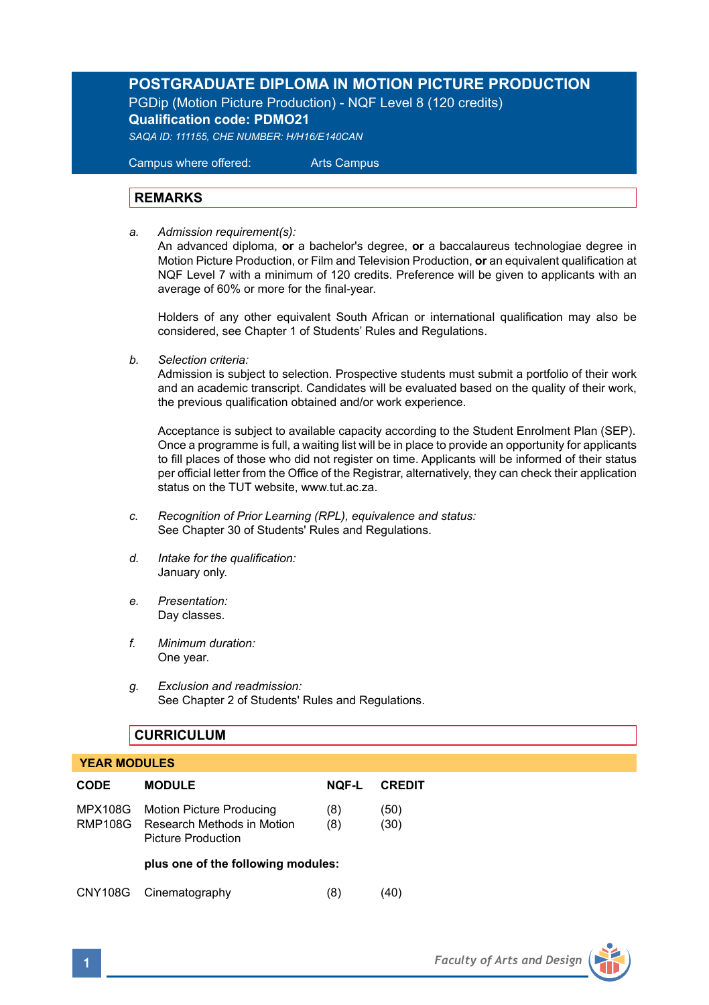# **POSTGRADUATE DIPLOMA IN MOTION PICTURE PRODUCTION**

PGDip (Motion Picture Production) - NQF Level 8 (120 credits) **Qualification code: PDMO21**

*SAQA ID: 111155, CHE NUMBER: H/H16/E140CAN* 

 Campus where offered: Arts Campus

# **REMARKS**

*a. Admission requirement(s):* 

An advanced diploma, **or** a bachelor's degree, **or** a baccalaureus technologiae degree in Motion Picture Production, or Film and Television Production, **or** an equivalent qualification at NQF Level 7 with a minimum of 120 credits. Preference will be given to applicants with an average of 60% or more for the final-year.

Holders of any other equivalent South African or international qualification may also be considered, see Chapter 1 of Students' Rules and Regulations.

*b. Selection criteria:*

Admission is subject to selection. Prospective students must submit a portfolio of their work and an academic transcript. Candidates will be evaluated based on the quality of their work, the previous qualification obtained and/or work experience.

 Acceptance is subject to available capacity according to the Student Enrolment Plan (SEP). Once a programme is full, a waiting list will be in place to provide an opportunity for applicants to fill places of those who did not register on time. Applicants will be informed of their status per official letter from the Office of the Registrar, alternatively, they can check their application status on the TUT website, www.tut.ac.za.

- *c. Recognition of Prior Learning (RPL), equivalence and status:* See Chapter 30 of Students' Rules and Regulations.
- *d. Intake for the qualification:* January only.
- *e. Presentation:* Day classes.
- *f. Minimum duration:* One year.
- *g. Exclusion and readmission:* See Chapter 2 of Students' Rules and Regulations.

# **CURRICULUM**

#### **YEAR MODULES**

| <b>CODE</b>               | <b>MODULE</b>                                                                       | <b>NOF-L</b> | <b>CREDIT</b> |
|---------------------------|-------------------------------------------------------------------------------------|--------------|---------------|
| <b>MPX108G</b><br>RMP108G | <b>Motion Picture Producing</b><br>Research Methods in Motion<br>Picture Production | (8)<br>(8)   | (50)<br>(30)  |
|                           | plus one of the following modules:                                                  |              |               |
|                           | CNY108G Cinematography                                                              | (8)          | 40)           |